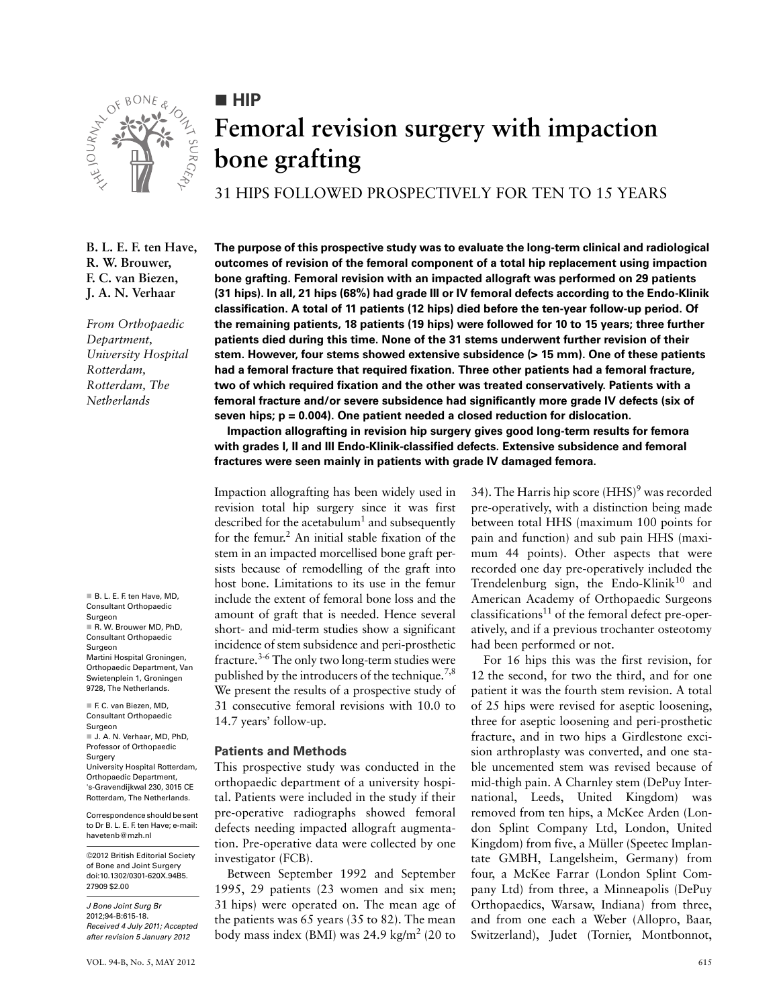

**HIP** 

# **Femoral revision surgery with impaction bone grafting**

31 HIPS FOLLOWED PROSPECTIVELY FOR TEN TO 15 YEARS

**B. L. E. F. ten Have, R. W. Brouwer, F. C. van Biezen, J. A. N. Verhaar**

*From Orthopaedic Department, University Hospital Rotterdam, Rotterdam, The Netherlands*

B. L. E. F. ten Have, MD. Consultant Orthopaedic Surgeon R. W. Brouwer MD, PhD. Consultant Orthopaedic Surgeon Martini Hospital Groningen, Orthopaedic Department, Van Swietenplein 1, Groningen 9728, The Netherlands. F. C. van Biezen, MD,

Consultant Orthopaedic Surgeon J. A. N. Verhaar, MD, PhD, Professor of Orthopaedic **Surgery** University Hospital Rotterdam, Orthopaedic Department, 's-Gravendijkwal 230, 3015 CE Rotterdam, The Netherlands.

Correspondence should be sent to Dr B. L. E. F. ten Have; e-mail: havetenb@mzh.nl

©2012 British Editorial Society of Bone and Joint Surgery doi:10.1302/0301-620X.94B5. 27909 \$2.00

*J Bone Joint Surg Br* 2012;94-B:615-18. *Received 4 July 2011; Accepted after revision 5 January 2012*

**The purpose of this prospective study was to evaluate the long-term clinical and radiological outcomes of revision of the femoral component of a total hip replacement using impaction bone grafting. Femoral revision with an impacted allograft was performed on 29 patients (31 hips). In all, 21 hips (68%) had grade III or IV femoral defects according to the Endo-Klinik classification. A total of 11 patients (12 hips) died before the ten-year follow-up period. Of the remaining patients, 18 patients (19 hips) were followed for 10 to 15 years; three further patients died during this time. None of the 31 stems underwent further revision of their stem. However, four stems showed extensive subsidence (> 15 mm). One of these patients had a femoral fracture that required fixation. Three other patients had a femoral fracture, two of which required fixation and the other was treated conservatively. Patients with a femoral fracture and/or severe subsidence had significantly more grade IV defects (six of seven hips; p = 0.004). One patient needed a closed reduction for dislocation.**

**Impaction allografting in revision hip surgery gives good long-term results for femora with grades I, II and III Endo-Klinik-classified defects. Extensive subsidence and femoral fractures were seen mainly in patients with grade IV damaged femora.**

Impaction allografting has been widely used in revision total hip surgery since it was first described for the acetabulum<sup>1</sup> and subsequently for the femur.<sup>2</sup> An initial stable fixation of the stem in an impacted morcellised bone graft persists because of remodelling of the graft into host bone. Limitations to its use in the femur include the extent of femoral bone loss and the amount of graft that is needed. Hence several short- and mid-term studies show a significant incidence of stem subsidence and peri-prosthetic fracture.3-6 The only two long-term studies were published by the introducers of the technique.<sup>7,8</sup> We present the results of a prospective study of 31 consecutive femoral revisions with 10.0 to 14.7 years' follow-up.

## **Patients and Methods**

This prospective study was conducted in the orthopaedic department of a university hospital. Patients were included in the study if their pre-operative radiographs showed femoral defects needing impacted allograft augmentation. Pre-operative data were collected by one investigator (FCB).

Between September 1992 and September 1995, 29 patients (23 women and six men; 31 hips) were operated on. The mean age of the patients was 65 years (35 to 82). The mean body mass index (BMI) was  $24.9 \text{ kg/m}^2$  (20 to

34). The Harris hip score  $(HHS)^9$  was recorded pre-operatively, with a distinction being made between total HHS (maximum 100 points for pain and function) and sub pain HHS (maximum 44 points). Other aspects that were recorded one day pre-operatively included the Trendelenburg sign, the Endo-Klinik<sup>10</sup> and American Academy of Orthopaedic Surgeons classifications<sup>11</sup> of the femoral defect pre-operatively, and if a previous trochanter osteotomy had been performed or not.

For 16 hips this was the first revision, for 12 the second, for two the third, and for one patient it was the fourth stem revision. A total of 25 hips were revised for aseptic loosening, three for aseptic loosening and peri-prosthetic fracture, and in two hips a Girdlestone excision arthroplasty was converted, and one stable uncemented stem was revised because of mid-thigh pain. A Charnley stem (DePuy International, Leeds, United Kingdom) was removed from ten hips, a McKee Arden (London Splint Company Ltd, London, United Kingdom) from five, a Müller (Speetec Implantate GMBH, Langelsheim, Germany) from four, a McKee Farrar (London Splint Company Ltd) from three, a Minneapolis (DePuy Orthopaedics, Warsaw, Indiana) from three, and from one each a Weber (Allopro, Baar, Switzerland), Judet (Tornier, Montbonnot,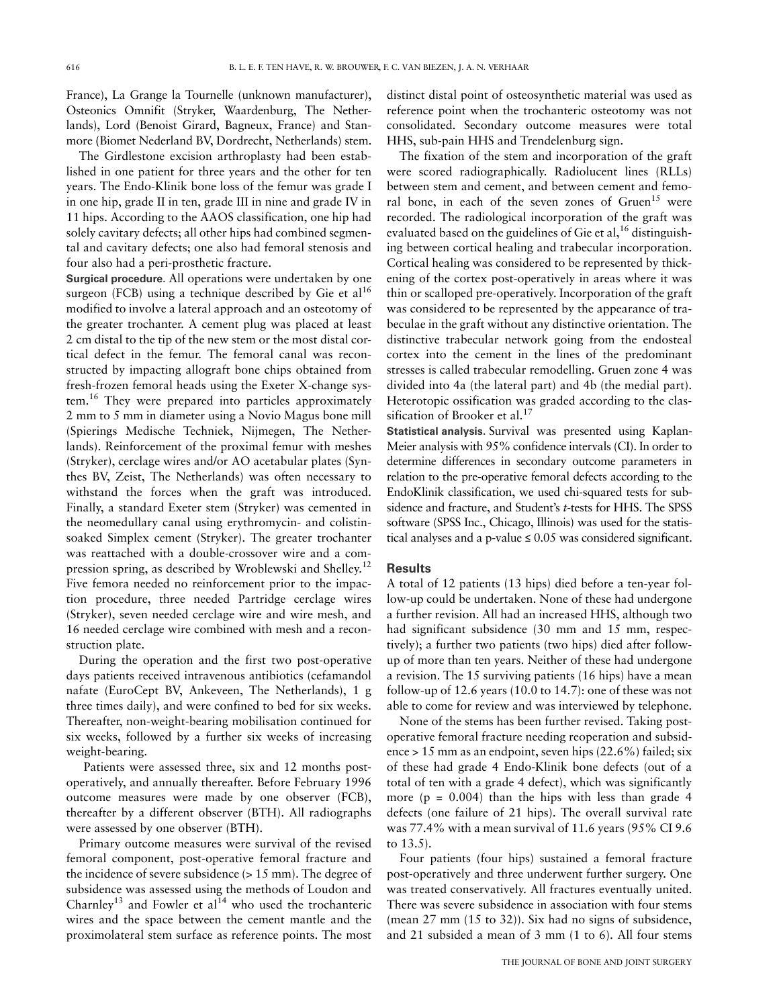France), La Grange la Tournelle (unknown manufacturer), Osteonics Omnifit (Stryker, Waardenburg, The Netherlands), Lord (Benoist Girard, Bagneux, France) and Stanmore **(**Biomet Nederland BV, Dordrecht, Netherlands) stem.

The Girdlestone excision arthroplasty had been established in one patient for three years and the other for ten years. The Endo-Klinik bone loss of the femur was grade I in one hip, grade II in ten, grade III in nine and grade IV in 11 hips. According to the AAOS classification, one hip had solely cavitary defects; all other hips had combined segmental and cavitary defects; one also had femoral stenosis and four also had a peri-prosthetic fracture.

**Surgical procedure.** All operations were undertaken by one surgeon (FCB) using a technique described by Gie et  $al<sup>16</sup>$ modified to involve a lateral approach and an osteotomy of the greater trochanter. A cement plug was placed at least 2 cm distal to the tip of the new stem or the most distal cortical defect in the femur. The femoral canal was reconstructed by impacting allograft bone chips obtained from fresh-frozen femoral heads using the Exeter X-change system.16 They were prepared into particles approximately 2 mm to 5 mm in diameter using a Novio Magus bone mill (Spierings Medische Techniek, Nijmegen, The Netherlands). Reinforcement of the proximal femur with meshes (Stryker), cerclage wires and/or AO acetabular plates (Synthes BV, Zeist, The Netherlands) was often necessary to withstand the forces when the graft was introduced. Finally, a standard Exeter stem (Stryker) was cemented in the neomedullary canal using erythromycin- and colistinsoaked Simplex cement (Stryker). The greater trochanter was reattached with a double-crossover wire and a compression spring, as described by Wroblewski and Shelley.<sup>12</sup> Five femora needed no reinforcement prior to the impaction procedure, three needed Partridge cerclage wires (Stryker), seven needed cerclage wire and wire mesh, and 16 needed cerclage wire combined with mesh and a reconstruction plate.

During the operation and the first two post-operative days patients received intravenous antibiotics (cefamandol nafate (EuroCept BV, Ankeveen, The Netherlands), 1 g three times daily), and were confined to bed for six weeks. Thereafter, non-weight-bearing mobilisation continued for six weeks, followed by a further six weeks of increasing weight-bearing.

 Patients were assessed three, six and 12 months postoperatively, and annually thereafter. Before February 1996 outcome measures were made by one observer (FCB), thereafter by a different observer (BTH). All radiographs were assessed by one observer (BTH).

Primary outcome measures were survival of the revised femoral component, post-operative femoral fracture and the incidence of severe subsidence (> 15 mm). The degree of subsidence was assessed using the methods of Loudon and Charnley<sup>13</sup> and Fowler et al<sup>14</sup> who used the trochanteric wires and the space between the cement mantle and the proximolateral stem surface as reference points. The most

distinct distal point of osteosynthetic material was used as reference point when the trochanteric osteotomy was not consolidated. Secondary outcome measures were total HHS, sub-pain HHS and Trendelenburg sign.

The fixation of the stem and incorporation of the graft were scored radiographically. Radiolucent lines (RLLs) between stem and cement, and between cement and femoral bone, in each of the seven zones of  $Gruen<sup>15</sup>$  were recorded. The radiological incorporation of the graft was evaluated based on the guidelines of Gie et al,  $^{16}$  distinguishing between cortical healing and trabecular incorporation. Cortical healing was considered to be represented by thickening of the cortex post-operatively in areas where it was thin or scalloped pre-operatively. Incorporation of the graft was considered to be represented by the appearance of trabeculae in the graft without any distinctive orientation. The distinctive trabecular network going from the endosteal cortex into the cement in the lines of the predominant stresses is called trabecular remodelling. Gruen zone 4 was divided into 4a (the lateral part) and 4b (the medial part). Heterotopic ossification was graded according to the classification of Brooker et al.<sup>17</sup>

**Statistical analysis.** Survival was presented using Kaplan-Meier analysis with 95% confidence intervals (CI). In order to determine differences in secondary outcome parameters in relation to the pre-operative femoral defects according to the EndoKlinik classification, we used chi-squared tests for subsidence and fracture, and Student's *t*-tests for HHS. The SPSS software (SPSS Inc., Chicago, Illinois) was used for the statistical analyses and a p-value  $\leq 0.05$  was considered significant.

## **Results**

A total of 12 patients (13 hips) died before a ten-year follow-up could be undertaken. None of these had undergone a further revision. All had an increased HHS, although two had significant subsidence (30 mm and 15 mm, respectively); a further two patients (two hips) died after followup of more than ten years. Neither of these had undergone a revision. The 15 surviving patients (16 hips) have a mean follow-up of 12.6 years (10.0 to 14.7): one of these was not able to come for review and was interviewed by telephone.

None of the stems has been further revised. Taking postoperative femoral fracture needing reoperation and subsidence > 15 mm as an endpoint, seven hips (22.6%) failed; six of these had grade 4 Endo-Klinik bone defects (out of a total of ten with a grade 4 defect), which was significantly more ( $p = 0.004$ ) than the hips with less than grade 4 defects (one failure of 21 hips). The overall survival rate was 77.4% with a mean survival of 11.6 years (95% CI 9.6 to 13.5).

Four patients (four hips) sustained a femoral fracture post-operatively and three underwent further surgery. One was treated conservatively. All fractures eventually united. There was severe subsidence in association with four stems (mean 27 mm (15 to 32)). Six had no signs of subsidence, and 21 subsided a mean of 3 mm (1 to 6). All four stems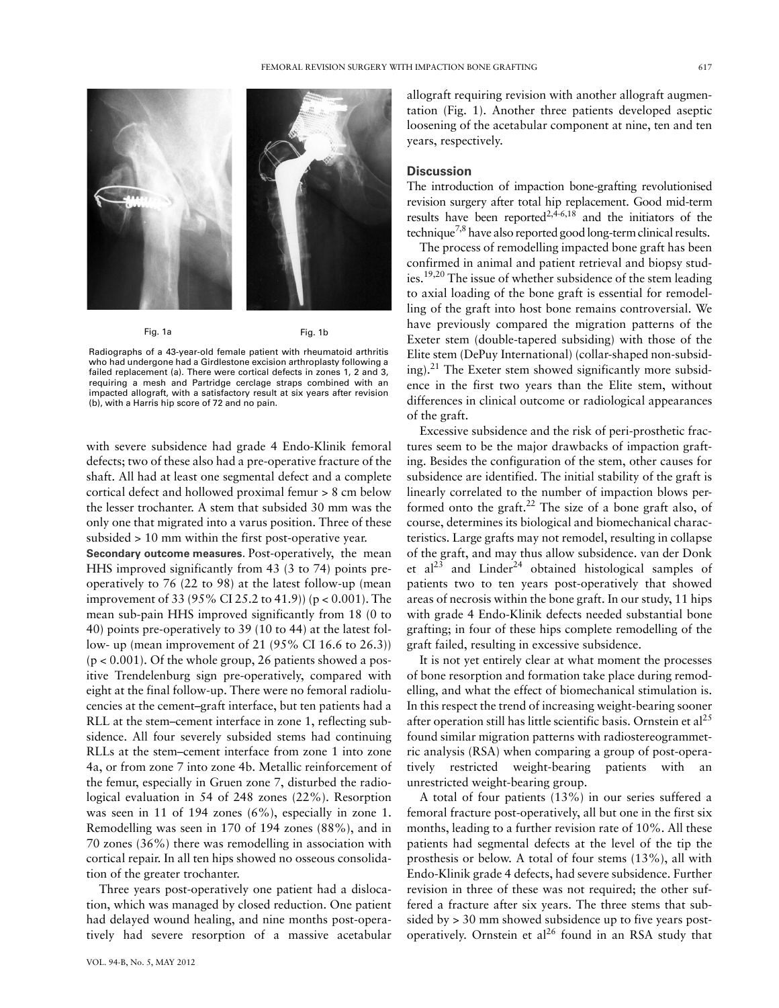

Fig. 1a

Fig. 1b

Radiographs of a 43-year-old female patient with rheumatoid arthritis who had undergone had a Girdlestone excision arthroplasty following a failed replacement (a). There were cortical defects in zones 1, 2 and 3, requiring a mesh and Partridge cerclage straps combined with an impacted allograft, with a satisfactory result at six years after revision (b), with a Harris hip score of 72 and no pain.

with severe subsidence had grade 4 Endo-Klinik femoral defects; two of these also had a pre-operative fracture of the shaft. All had at least one segmental defect and a complete cortical defect and hollowed proximal femur > 8 cm below the lesser trochanter. A stem that subsided 30 mm was the only one that migrated into a varus position. Three of these subsided > 10 mm within the first post-operative year.

**Secondary outcome measures.** Post-operatively, the mean HHS improved significantly from 43 (3 to 74) points preoperatively to 76 (22 to 98) at the latest follow-up (mean improvement of 33 (95% CI 25.2 to 41.9)) (p < 0.001). The mean sub-pain HHS improved significantly from 18 (0 to 40) points pre-operatively to 39 (10 to 44) at the latest follow- up (mean improvement of 21 (95% CI 16.6 to 26.3))  $(p < 0.001)$ . Of the whole group, 26 patients showed a positive Trendelenburg sign pre-operatively, compared with eight at the final follow-up. There were no femoral radiolucencies at the cement–graft interface, but ten patients had a RLL at the stem–cement interface in zone 1, reflecting subsidence. All four severely subsided stems had continuing RLLs at the stem–cement interface from zone 1 into zone 4a, or from zone 7 into zone 4b. Metallic reinforcement of the femur, especially in Gruen zone 7, disturbed the radiological evaluation in 54 of 248 zones (22%). Resorption was seen in 11 of 194 zones (6%), especially in zone 1. Remodelling was seen in 170 of 194 zones (88%), and in 70 zones (36%) there was remodelling in association with cortical repair. In all ten hips showed no osseous consolidation of the greater trochanter.

Three years post-operatively one patient had a dislocation, which was managed by closed reduction. One patient had delayed wound healing, and nine months post-operatively had severe resorption of a massive acetabular

allograft requiring revision with another allograft augmentation (Fig. 1). Another three patients developed aseptic loosening of the acetabular component at nine, ten and ten years, respectively.

#### **Discussion**

The introduction of impaction bone-grafting revolutionised revision surgery after total hip replacement. Good mid-term results have been reported<sup>2,4-6,18</sup> and the initiators of the technique<sup>7,8</sup> have also reported good long-term clinical results.

The process of remodelling impacted bone graft has been confirmed in animal and patient retrieval and biopsy studies.19,20 The issue of whether subsidence of the stem leading to axial loading of the bone graft is essential for remodelling of the graft into host bone remains controversial. We have previously compared the migration patterns of the Exeter stem (double-tapered subsiding) with those of the Elite stem (DePuy International) (collar-shaped non-subsiding).<sup>21</sup> The Exeter stem showed significantly more subsidence in the first two years than the Elite stem, without differences in clinical outcome or radiological appearances of the graft.

Excessive subsidence and the risk of peri-prosthetic fractures seem to be the major drawbacks of impaction grafting. Besides the configuration of the stem, other causes for subsidence are identified. The initial stability of the graft is linearly correlated to the number of impaction blows performed onto the graft.<sup>22</sup> The size of a bone graft also, of course, determines its biological and biomechanical characteristics. Large grafts may not remodel, resulting in collapse of the graft, and may thus allow subsidence. van der Donk et  $al^{23}$  and Linder<sup>24</sup> obtained histological samples of patients two to ten years post-operatively that showed areas of necrosis within the bone graft. In our study, 11 hips with grade 4 Endo-Klinik defects needed substantial bone grafting; in four of these hips complete remodelling of the graft failed, resulting in excessive subsidence.

It is not yet entirely clear at what moment the processes of bone resorption and formation take place during remodelling, and what the effect of biomechanical stimulation is. In this respect the trend of increasing weight-bearing sooner after operation still has little scientific basis. Ornstein et  $al^{25}$ found similar migration patterns with radiostereogrammetric analysis (RSA) when comparing a group of post-operatively restricted weight-bearing patients with an unrestricted weight-bearing group.

A total of four patients (13%) in our series suffered a femoral fracture post-operatively, all but one in the first six months, leading to a further revision rate of 10%. All these patients had segmental defects at the level of the tip the prosthesis or below. A total of four stems (13%), all with Endo-Klinik grade 4 defects, had severe subsidence. Further revision in three of these was not required; the other suffered a fracture after six years. The three stems that subsided by > 30 mm showed subsidence up to five years postoperatively. Ornstein et  $al^{26}$  found in an RSA study that